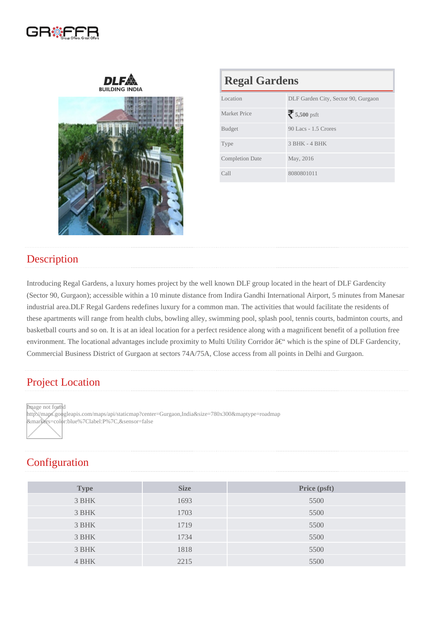| <b>Regal Gardens</b>   |                                     |  |  |
|------------------------|-------------------------------------|--|--|
| Location               | DLF Garden City, Sector 90, Gurgaon |  |  |
| <b>Market Price</b>    | 5,500psft                           |  |  |
| <b>Budget</b>          | 90 Lacs - 1.5 Crores                |  |  |
| <b>Type</b>            | 3 BHK - 4 BHK                       |  |  |
| <b>Completion Date</b> | May, 2016                           |  |  |
| Call                   | 8080801011                          |  |  |

## **Description**

Introducing Regal Gardens, a luxury homes project by the well known DLF group located in the heart of DLF Gardencity (Sector 90, Gurgaon); accessible within a 10 minute distance from Indira Gandhi International Airport, 5 minutes from Manesar industrial area.DLF Regal Gardens redefines luxury for a common man. The activities that would facilitate the residents of these apartments will range from health clubs, bowling alley, swimming pool, splash pool, tennis courts, badminton courts, and basketball courts and so on. It is at an ideal location for a perfect residence along with a magnificent benefit of a pollution free environment. The locational advantages include proximity to Multi Utility Corridor – which is the spine of DLF Gardencity, Commercial Business District of Gurgaon at sectors 74A/75A, Close access from all points in Delhi and Gurgaon.

## Project Location

Image not found

http://maps.googleapis.com/maps/api/staticmap?center=Gurgaon,India&size=780x300&maptype=roadmap &markers=color:blue%7Clabel:P%7C,&sensor=false

## **Configuration**

| Type  | <b>Size</b> | Price (psft) |
|-------|-------------|--------------|
| 3 BHK | 1693        | 5500         |
| 3 BHK | 1703        | 5500         |
| 3 BHK | 1719        | 5500         |
| 3 BHK | 1734        | 5500         |
| 3 BHK | 1818        | 5500         |
| 4 BHK | 2215        | 5500         |